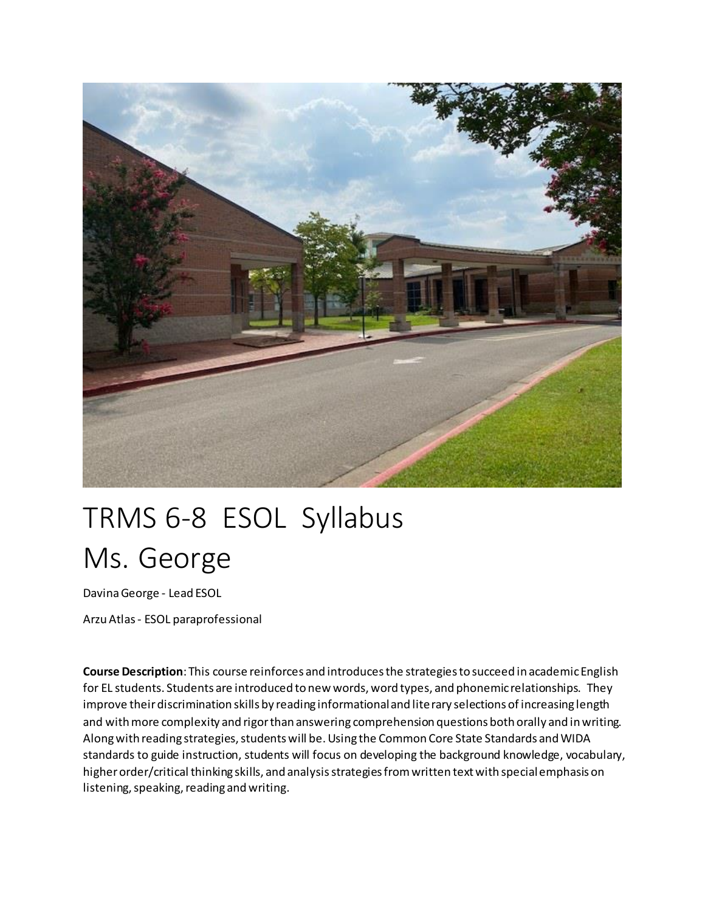

# TRMS 6-8 ESOL Syllabus Ms. George

Davina George - Lead ESOL

Arzu Atlas - ESOL paraprofessional

**Course Description**: This course reinforces and introduces the strategies to succeed in academic English for EL students. Students are introduced to new words, word types, and phonemic relationships. They improve their discrimination skills by reading informational and literary selections of increasing length and with more complexity and rigor than answering comprehension questions both orally and in writing. Along with reading strategies, students will be. Using the Common Core State Standards and WIDA standards to guide instruction, students will focus on developing the background knowledge, vocabulary, higher order/critical thinking skills, and analysis strategies from written text with special emphasis on listening, speaking, reading and writing.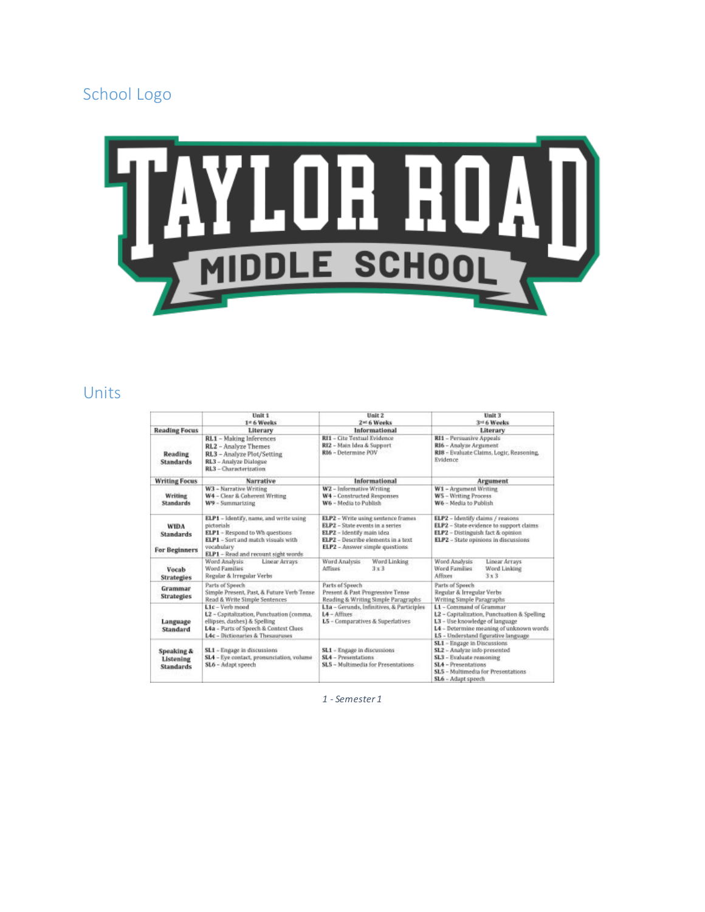## School Logo



## Units

|                                                    | Unit 1<br>1st 6 Weeks                                                                                                                                                                          | Unit 2<br>2 <sup>ad</sup> 6 Weeks                                                                                                                                           | Unit 3<br>3rd 6 Weeks                                                                                                                                                                       |
|----------------------------------------------------|------------------------------------------------------------------------------------------------------------------------------------------------------------------------------------------------|-----------------------------------------------------------------------------------------------------------------------------------------------------------------------------|---------------------------------------------------------------------------------------------------------------------------------------------------------------------------------------------|
| <b>Reading Focus</b>                               | Literary                                                                                                                                                                                       | Informational                                                                                                                                                               | Literary                                                                                                                                                                                    |
| <b>Reading</b><br><b>Standards</b>                 | RL1 - Making Inferences<br>RL2 - Analyze Themes<br>RL3 - Analyze Plot/Setting<br>RL3 - Analyze Dialogue<br>RL3 - Characterization                                                              | RI1 - Cite Textual Evidence<br>RI2 - Main Idea & Support<br>RI6 - Determine POV                                                                                             | RI1 - Persuasive Appeals<br>RI6 - Analyze Argument<br>RIB - Evaluate Claims, Logic, Reasoning,<br>Evidence                                                                                  |
| <b>Writing Focus</b>                               | Narrative                                                                                                                                                                                      | Informational                                                                                                                                                               | Argument                                                                                                                                                                                    |
| Writing<br><b>Standards</b>                        | W3 - Narrative Writing<br>W4 - Clear & Coherent Writing<br>W9 - Summarizing                                                                                                                    | W2 - Informative Writing<br>W4 - Constructed Responses<br>W6 - Media to Publish                                                                                             | W1 - Argument Writing<br>W5 - Writing Process<br>W6 - Media to Publish                                                                                                                      |
| <b>WIDA</b><br><b>Standards</b><br>For Beginners   | ELP1 - Identify, name, and write using<br>pictorials <sup>1</sup><br>ELP1 - Respond to Wh questions<br>ELP1 - Sort and match visuals with<br>vocahulary<br>ELP1 - Read and recount sight words | ELP2 - Write using sentence frames<br>ELP2 - State events in a series<br>ELPZ - Identify main idea<br>ELP2 - Describe elements in a text<br>ELP2 - Answer simple questions: | ELP2 - Identify claims / reasons<br>ELP2 - State evidence to support claims<br>ELP2 - Distinguish fact & opinion<br>ELP2 - State opinions in discussions                                    |
| Vocab<br>Strategies                                | Linear Arrays<br>Word Analysis<br>Word Families<br>Regular & Irregular Verbs                                                                                                                   | Word Analysis<br>Word Linking<br>Affixes<br>3x3                                                                                                                             | Word Analysis<br>Linear Arrays<br>Word Families<br>Word Linking<br>3x3<br>Affisons                                                                                                          |
| Grammar<br>Strategies                              | Parts of Speech<br>Simple Present, Past, & Future Verb Tense<br>Read & Write Simple Sentences                                                                                                  | Parts of Spowch<br>Present & Past Progressive Tense<br>Reading & Writing Simple Paragraphs                                                                                  | Parts of Speech<br>Regular & Irregular Verbs<br>Writing Simple Paragraphs                                                                                                                   |
| Language<br>Standard                               | L1c - Verb mood<br>L2 - Capitalization, Punctuation (comma,<br>ellipses, dashes) & Spelling<br>L4a - Parts of Speech & Context Clues<br><b>14c</b> - Dictionaries & Thesauruses                | L1a - Gerunds, Infinitives, & Participles<br>$L4 - Affices$<br>L5 - Comparatives & Superlatives                                                                             | L1 - Commund of Grammar<br>L2 - Capitalization, Punctuation & Spelling<br>L3 - Use knowledge of language<br>L4 - Determine meaning of unknown words<br>L5 - Understand figurative language. |
| Speaking &<br><b>Listening</b><br><b>Standards</b> | SL1 - Engage in discussions<br>SL4 - Eye contact, promunciation, volume<br>SL6 - Adapt speech                                                                                                  | SL1 - Engage in discussions<br>SL4 - Presentations<br>SLS - Multimedia for Presentations                                                                                    | SL1 - Engage in Discussions<br>SL2 - Analyze info presented<br>SL3 - Evaluate reasoning<br>SL4 - Presentations<br>SLS - Multimedia for Presentations<br>SL6 - Adapt speech                  |

*1 - Semester 1*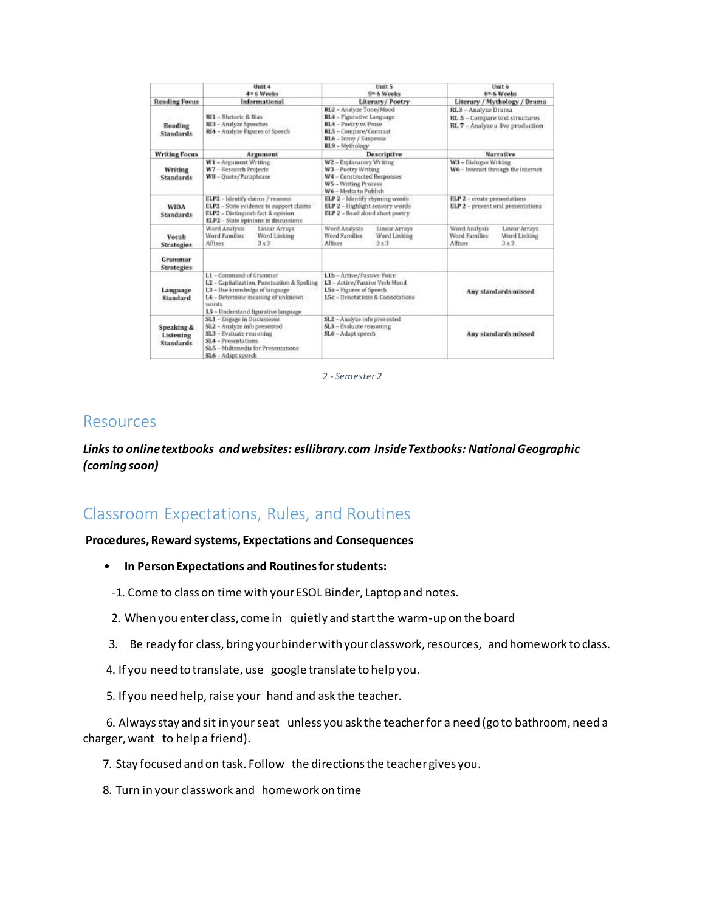|                                             | Unit 4<br>4th 6 Weeks                                                                                                                                                                         | Unit 5<br>5th 6 Weeks                                                                                                                                | Unit 6<br>6th 6 Weeks                                                                     |
|---------------------------------------------|-----------------------------------------------------------------------------------------------------------------------------------------------------------------------------------------------|------------------------------------------------------------------------------------------------------------------------------------------------------|-------------------------------------------------------------------------------------------|
| <b>Reading Focus</b>                        | Informational                                                                                                                                                                                 | Literary/Poetry                                                                                                                                      | Literary / Mythology / Drama                                                              |
| Reading<br><b>Standards</b>                 | RII - Rhetoric & Bias<br>RI3 - Analyze Speeches<br>RI4 - Analyze Pigures of Speech                                                                                                            | RL2 - Analyze Tone/Mood<br>RL4 - Figurative Language<br>RL4 - Poetry vs Prose<br>RLS - Compare/Contrast<br>RL6 - Irony / Suspense<br>RL9 - Mythology | RL3 - Analyze Drama<br>RL 5 - Compare text structures<br>RL 7 - Analyze a live production |
| <b>Writing Focus</b>                        | Argument                                                                                                                                                                                      | Descriptive                                                                                                                                          | Narrative                                                                                 |
| <b>Writing</b><br><b>Standards</b>          | W1 - Argument Writing<br>W7 - Research Projects<br>WB = Quote/Paraphrase                                                                                                                      | W2 - Explanatory Writing<br>W3 - Poetry Writing<br>W4 - Constructed Responses<br><b>WS</b> - Writing Process<br>W6 - Media to Publish                | W3 - Dialogue Writing<br>W6 - Interact through the internet                               |
| <b>WIDA</b><br><b>Standards</b>             | ELP2 - Identify claims / reasons<br>ELP2 - State evidence to support claims<br>ELP2 - Distinguish fact & opinion<br>ELP2 - State opinions in discussions                                      | ELP 2 - Identify rhyming words<br>ELP 2 - Highlight sensory words<br>ELP 2 - Read aloud short poetry                                                 | ELP 2 - create presentations<br>ELP 2 - present oral presentations                        |
| Vocab<br><b>Strategies</b>                  | Word Analysis<br><b>Linear Arrays</b><br><b>Word Families</b><br>Word Linking<br>$3 \times 3$<br>Affixes                                                                                      | Word Analysis<br>Linear Arrays<br>Word Families<br>Word Linking<br>Affixes<br>$3 \times 3$                                                           | Word Analysis<br>Linear Arrays<br>Word Families<br>Word Linking<br>3x3<br>Affixes         |
| Grammar<br><b>Strategies</b>                |                                                                                                                                                                                               |                                                                                                                                                      |                                                                                           |
| Language<br>Standard                        | L1 - Command of Grammar<br>L2 - Capitalization, Punctuation & Spelling<br>L3 - Use knowledge of language<br>L4 - Determine meaning of unknown<br>words<br>L5 - Understand figurative language | L1b - Active/Passive Voice<br>L3 - Active/Passive Verb Mood<br>L5a - Figures of Speech<br>LSc - Denotations & Connotations                           | Any standards missed                                                                      |
| Speaking &<br>Listening<br><b>Standards</b> | SL1 - Engage in Discussions<br>SL2 - Analyze info presented<br>\$13 - Evaluate reasoning<br>SL4 - Presentations<br>SLS - Multimedia for Presentations:<br>SL6 - Adapt speech                  | SL2 - Analyze info presented<br>SL3 - Evaluate reasoning<br>SL6 - Adapt speech                                                                       | Any standards missed                                                                      |

*2 - Semester 2*

#### Resources

*Links to online textbooks and websites: esllibrary.com Inside Textbooks: National Geographic (coming soon)*

## Classroom Expectations, Rules, and Routines

#### **Procedures, Reward systems, Expectations and Consequences**

- **In Person Expectations and Routines for students:**
- -1. Come to class on time with your ESOL Binder, Laptop and notes.
- 2. When you enter class, come in quietly and start the warm-up on the board
- 3. Be ready for class, bring your binder with your classwork, resources, and homework to class.
- 4. If you need to translate, use google translate to help you.
- 5. If you need help, raise your hand and ask the teacher.

 6. Always stay and sit in your seat unless you ask the teacher for a need (go to bathroom, need a charger, want to help a friend).

7. Stay focused and on task. Follow the directions the teacher gives you.

8. Turn in your classwork and homework on time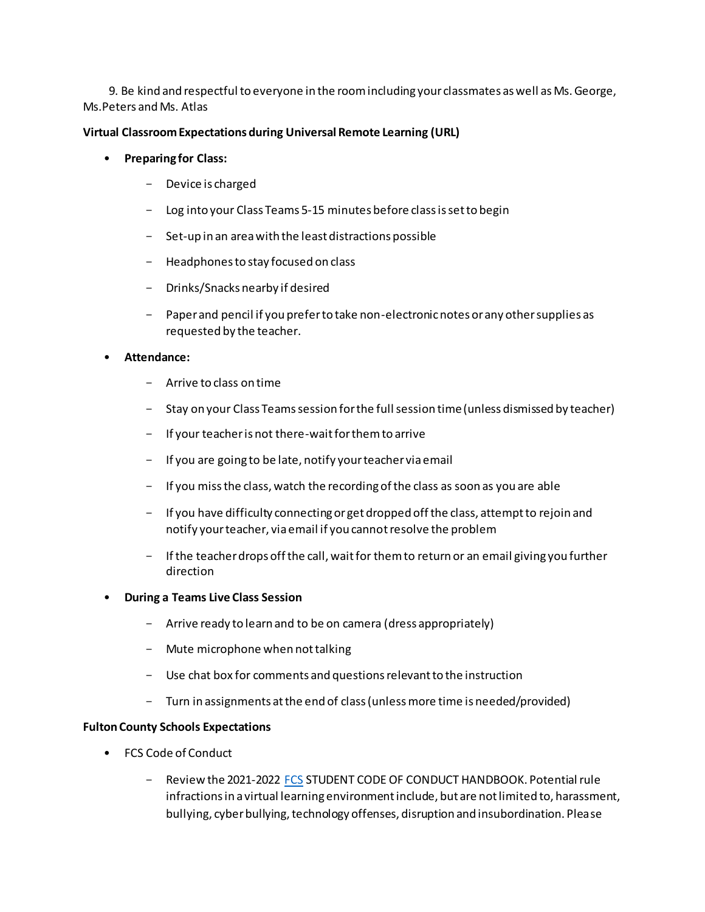9. Be kind and respectful to everyone in the room including your classmates as well as Ms. George, Ms.Peters and Ms. Atlas

#### **Virtual Classroom Expectations during Universal Remote Learning (URL)**

- **Preparing for Class:**
	- Device is charged
	- Log into your Class Teams 5-15 minutes before class is set to begin
	- Set-up in an area with the least distractions possible
	- Headphones to stay focused on class
	- Drinks/Snacks nearby if desired
	- Paper and pencil if you prefer to take non-electronic notes or any other supplies as requested by the teacher.
- **Attendance:**
	- Arrive to class on time
	- Stay on your Class Teams session for the full session time (unless dismissed by teacher)
	- If your teacher is not there-wait for them to arrive
	- If you are going to be late, notify your teacher via email
	- If you miss the class, watch the recording of the class as soon as you are able
	- If you have difficulty connecting or get dropped off the class, attempt to rejoin and notify your teacher, via email if you cannot resolve the problem
	- If the teacher drops off the call, wait for them to return or an email giving you further direction
- **During a Teams Live Class Session**
	- Arrive ready to learn and to be on camera (dress appropriately)
	- Mute microphone when not talking
	- Use chat box for comments and questions relevant to the instruction
	- Turn in assignments at the end of class (unless more time is needed/provided)

#### **Fulton County Schools Expectations**

- FCS Code of Conduct
	- Review the 2021-2022 [FCS](https://www.fultonschools.org/codeofconduct) STUDENT CODE OF CONDUCT HANDBOOK. Potential rule infractions in a virtual learning environment include, but are not limited to, harassment, bullying, cyber bullying, technology offenses, disruption and insubordination. Please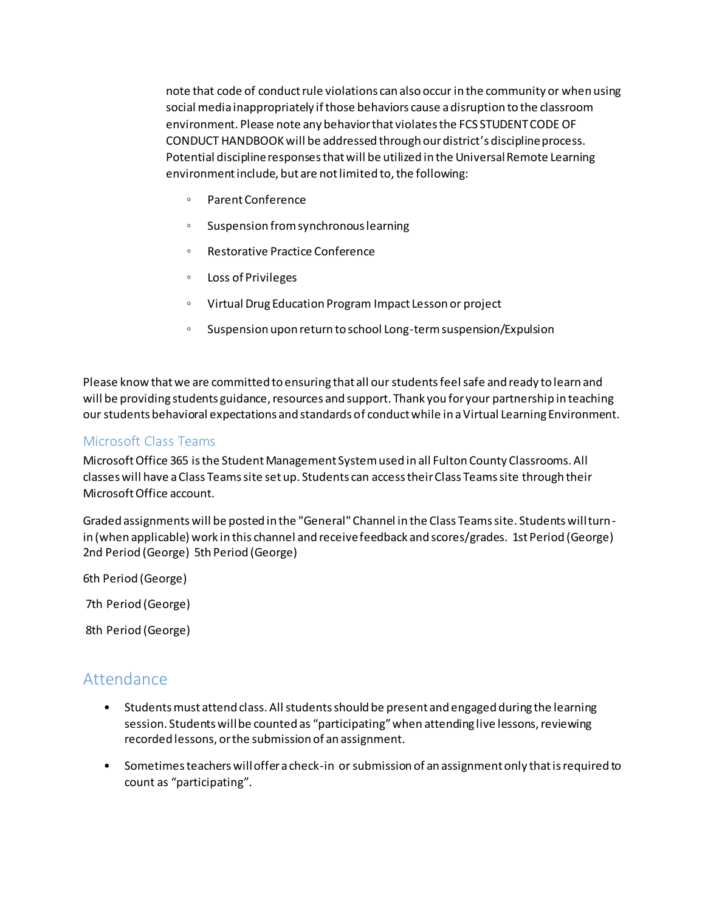note that code of conduct rule violations can also occur in the community or when using social media inappropriately if those behaviors cause a disruption to the classroom environment. Please note any behavior that violates the FCS STUDENT CODE OF CONDUCT HANDBOOK will be addressed through our district's discipline process. Potential discipline responses that will be utilized in the Universal Remote Learning environment include, but are not limited to, the following:

- Parent Conference
- Suspension from synchronous learning
- Restorative Practice Conference
- Loss of Privileges
- Virtual Drug Education Program Impact Lesson or project
- Suspension upon return to school Long-term suspension/Expulsion

Please know that we are committed to ensuring that all our students feel safe and ready to learn and will be providing students guidance, resources and support. Thank you for your partnership in teaching our students behavioral expectations and standards of conduct while in a Virtual Learning Environment.

#### Microsoft Class Teams

Microsoft Office 365 is the Student Management System used in all Fulton County Classrooms. All classes will have a Class Teams site set up. Students can access their Class Teams site through their Microsoft Office account.

Graded assignments will be posted in the "General" Channel in the Class Teams site. Students will turnin (when applicable) work in this channel and receive feedback and scores/grades. 1st Period (George) 2nd Period (George) 5th Period (George)

6th Period (George)

7th Period (George)

8th Period (George)

### Attendance

- Students must attend class. All students should be present and engaged during the learning session. Students will be counted as "participating"when attending live lessons, reviewing recorded lessons, or the submission of an assignment.
- Sometimes teachers will offer a check-in or submission of an assignment only that is required to count as "participating".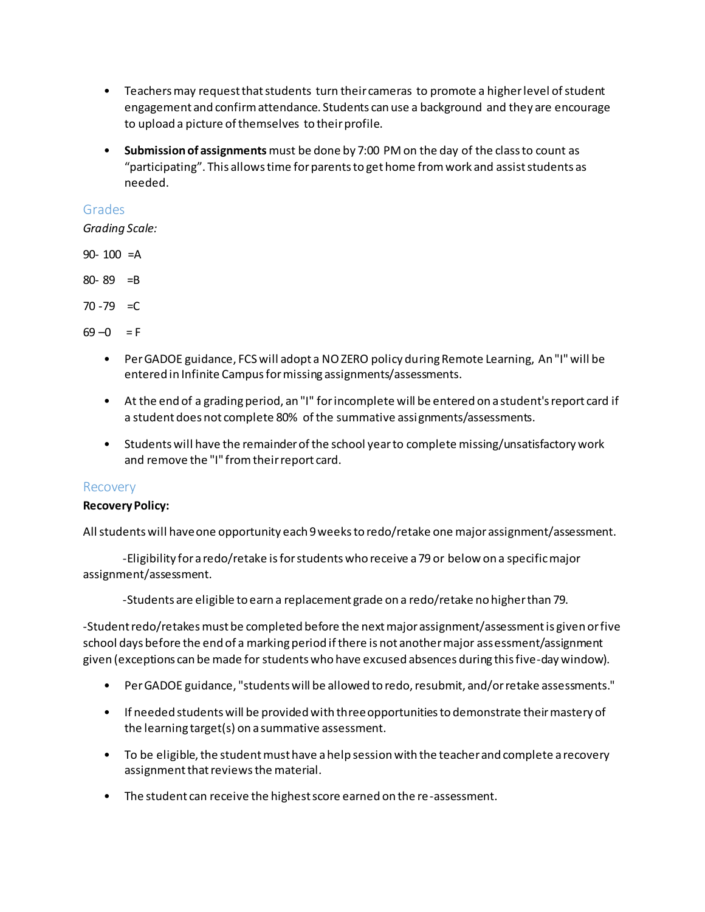- Teachers may request that students turn their cameras to promote a higher level of student engagement and confirm attendance. Students can use a background and they are encourage to upload a picture of themselves to their profile.
- **Submission of assignments**must be done by 7:00 PM on the day of the class to count as "participating". This allows time for parents to get home from work and assist students as needed.

#### Grades

*Grading Scale:*

90- 100 =A

80- 89 =B

 $70 - 79 = C$ 

 $69 - 0 = F$ 

- Per GADOE guidance, FCS will adopt a NO ZERO policy during Remote Learning, An "I" will be entered in Infinite Campus for missing assignments/assessments.
- At the end of a grading period, an "I" for incomplete will be entered on a student's report card if a student does not complete 80% of the summative assignments/assessments.
- Students will have the remainder of the school year to complete missing/unsatisfactory work and remove the "I" from their report card.

#### Recovery

#### **Recovery Policy:**

All students will have one opportunity each 9 weeks to redo/retake one major assignment/assessment.

-Eligibility for a redo/retake is for students who receive a 79 or below on a specific major assignment/assessment.

-Students are eligible to earn a replacement grade on a redo/retake no higher than 79.

-Student redo/retakes must be completed before the next major assignment/assessment is given or five school days before the end of a marking period if there is not another major assessment/assignment given (exceptions can be made for students who have excused absences during this five-day window).

- Per GADOE guidance, "students will be allowed to redo, resubmit, and/or retake assessments."
- If needed students will be provided with three opportunities to demonstrate their mastery of the learning target(s) on a summative assessment.
- To be eligible, the student must have a help session with the teacher and complete a recovery assignment that reviews the material.
- The student can receive the highest score earned on the re-assessment.